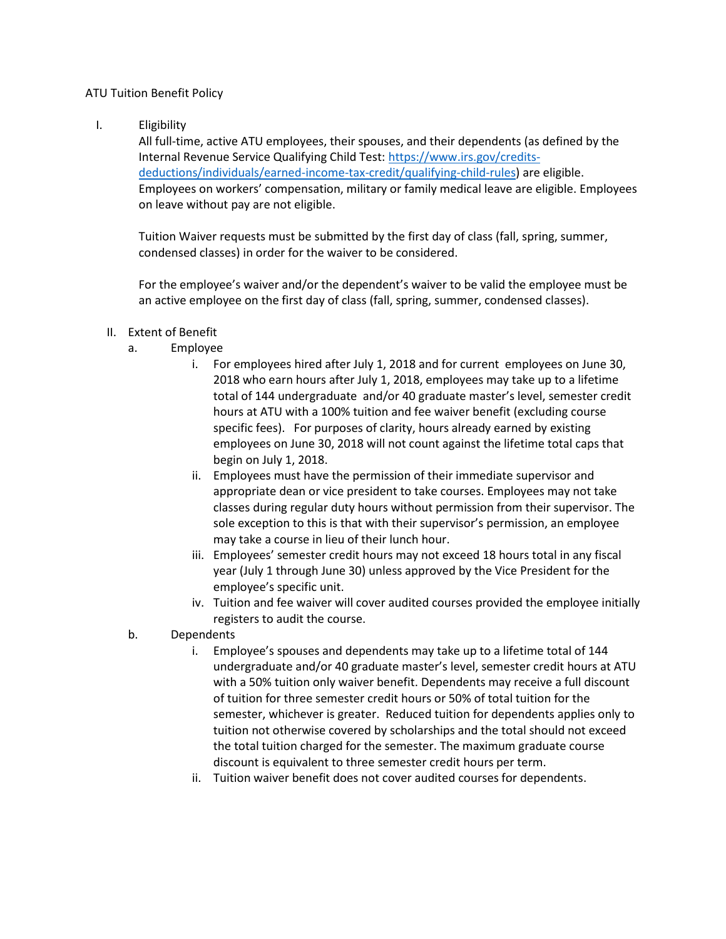## ATU Tuition Benefit Policy

I. Eligibility

All full-time, active ATU employees, their spouses, and their dependents (as defined by the Internal Revenue Service Qualifying Child Test[: https://www.irs.gov/credits](https://www.irs.gov/credits-deductions/individuals/earned-income-tax-credit/qualifying-child-rules)[deductions/individuals/earned-income-tax-credit/qualifying-child-rules\)](https://www.irs.gov/credits-deductions/individuals/earned-income-tax-credit/qualifying-child-rules) are eligible. Employees on workers' compensation, military or family medical leave are eligible. Employees on leave without pay are not eligible.

Tuition Waiver requests must be submitted by the first day of class (fall, spring, summer, condensed classes) in order for the waiver to be considered.

For the employee's waiver and/or the dependent's waiver to be valid the employee must be an active employee on the first day of class (fall, spring, summer, condensed classes).

## II. Extent of Benefit

- a. Employee
	- i. For employees hired after July 1, 2018 and for current employees on June 30, 2018 who earn hours after July 1, 2018, employees may take up to a lifetime total of 144 undergraduate and/or 40 graduate master's level, semester credit hours at ATU with a 100% tuition and fee waiver benefit (excluding course specific fees). For purposes of clarity, hours already earned by existing employees on June 30, 2018 will not count against the lifetime total caps that begin on July 1, 2018.
	- ii. Employees must have the permission of their immediate supervisor and appropriate dean or vice president to take courses. Employees may not take classes during regular duty hours without permission from their supervisor. The sole exception to this is that with their supervisor's permission, an employee may take a course in lieu of their lunch hour.
	- iii. Employees' semester credit hours may not exceed 18 hours total in any fiscal year (July 1 through June 30) unless approved by the Vice President for the employee's specific unit.
	- iv. Tuition and fee waiver will cover audited courses provided the employee initially registers to audit the course.
- b. Dependents
	- i. Employee's spouses and dependents may take up to a lifetime total of 144 undergraduate and/or 40 graduate master's level, semester credit hours at ATU with a 50% tuition only waiver benefit. Dependents may receive a full discount of tuition for three semester credit hours or 50% of total tuition for the semester, whichever is greater. Reduced tuition for dependents applies only to tuition not otherwise covered by scholarships and the total should not exceed the total tuition charged for the semester. The maximum graduate course discount is equivalent to three semester credit hours per term.
	- ii. Tuition waiver benefit does not cover audited courses for dependents.